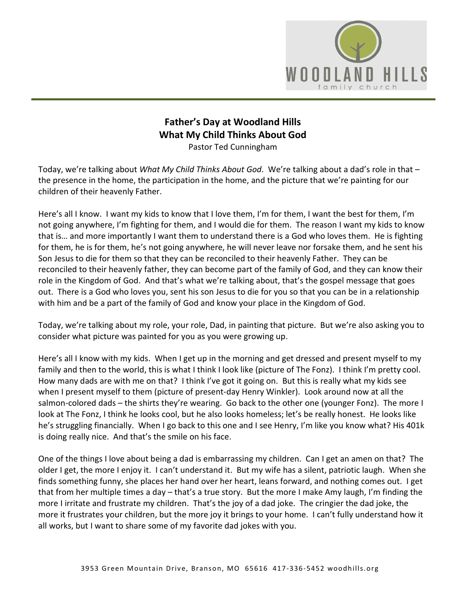

## **Father's Day at Woodland Hills What My Child Thinks About God**

Pastor Ted Cunningham

Today, we're talking about *What My Child Thinks About God*. We're talking about a dad's role in that – the presence in the home, the participation in the home, and the picture that we're painting for our children of their heavenly Father.

Here's all I know. I want my kids to know that I love them, I'm for them, I want the best for them, I'm not going anywhere, I'm fighting for them, and I would die for them. The reason I want my kids to know that is… and more importantly I want them to understand there is a God who loves them. He is fighting for them, he is for them, he's not going anywhere, he will never leave nor forsake them, and he sent his Son Jesus to die for them so that they can be reconciled to their heavenly Father. They can be reconciled to their heavenly father, they can become part of the family of God, and they can know their role in the Kingdom of God. And that's what we're talking about, that's the gospel message that goes out. There is a God who loves you, sent his son Jesus to die for you so that you can be in a relationship with him and be a part of the family of God and know your place in the Kingdom of God.

Today, we're talking about my role, your role, Dad, in painting that picture. But we're also asking you to consider what picture was painted for you as you were growing up.

Here's all I know with my kids. When I get up in the morning and get dressed and present myself to my family and then to the world, this is what I think I look like (picture of The Fonz). I think I'm pretty cool. How many dads are with me on that? I think I've got it going on. But this is really what my kids see when I present myself to them (picture of present-day Henry Winkler). Look around now at all the salmon-colored dads – the shirts they're wearing. Go back to the other one (younger Fonz). The more I look at The Fonz, I think he looks cool, but he also looks homeless; let's be really honest. He looks like he's struggling financially. When I go back to this one and I see Henry, I'm like you know what? His 401k is doing really nice. And that's the smile on his face.

One of the things I love about being a dad is embarrassing my children. Can I get an amen on that? The older I get, the more I enjoy it. I can't understand it. But my wife has a silent, patriotic laugh. When she finds something funny, she places her hand over her heart, leans forward, and nothing comes out. I get that from her multiple times a day – that's a true story. But the more I make Amy laugh, I'm finding the more I irritate and frustrate my children. That's the joy of a dad joke. The cringier the dad joke, the more it frustrates your children, but the more joy it brings to your home. I can't fully understand how it all works, but I want to share some of my favorite dad jokes with you.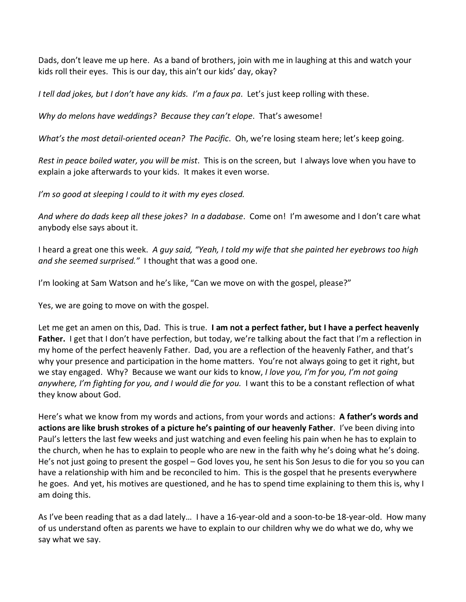Dads, don't leave me up here. As a band of brothers, join with me in laughing at this and watch your kids roll their eyes. This is our day, this ain't our kids' day, okay?

*I tell dad jokes, but I don't have any kids. I'm a faux pa*. Let's just keep rolling with these.

*Why do melons have weddings? Because they can't elope*. That's awesome!

*What's the most detail-oriented ocean? The Pacific*. Oh, we're losing steam here; let's keep going.

*Rest in peace boiled water, you will be mist*. This is on the screen, but I always love when you have to explain a joke afterwards to your kids. It makes it even worse.

*I'm so good at sleeping I could to it with my eyes closed.* 

*And where do dads keep all these jokes? In a dadabase*. Come on! I'm awesome and I don't care what anybody else says about it.

I heard a great one this week. *A guy said, "Yeah, I told my wife that she painted her eyebrows too high and she seemed surprised."* I thought that was a good one.

I'm looking at Sam Watson and he's like, "Can we move on with the gospel, please?"

Yes, we are going to move on with the gospel.

Let me get an amen on this, Dad. This is true. **I am not a perfect father, but I have a perfect heavenly Father.** I get that I don't have perfection, but today, we're talking about the fact that I'm a reflection in my home of the perfect heavenly Father. Dad, you are a reflection of the heavenly Father, and that's why your presence and participation in the home matters. You're not always going to get it right, but we stay engaged. Why? Because we want our kids to know, *I love you, I'm for you, I'm not going anywhere, I'm fighting for you, and I would die for you.* I want this to be a constant reflection of what they know about God.

Here's what we know from my words and actions, from your words and actions: **A father's words and actions are like brush strokes of a picture he's painting of our heavenly Father**. I've been diving into Paul's letters the last few weeks and just watching and even feeling his pain when he has to explain to the church, when he has to explain to people who are new in the faith why he's doing what he's doing. He's not just going to present the gospel – God loves you, he sent his Son Jesus to die for you so you can have a relationship with him and be reconciled to him. This is the gospel that he presents everywhere he goes. And yet, his motives are questioned, and he has to spend time explaining to them this is, why I am doing this.

As I've been reading that as a dad lately… I have a 16-year-old and a soon-to-be 18-year-old. How many of us understand often as parents we have to explain to our children why we do what we do, why we say what we say.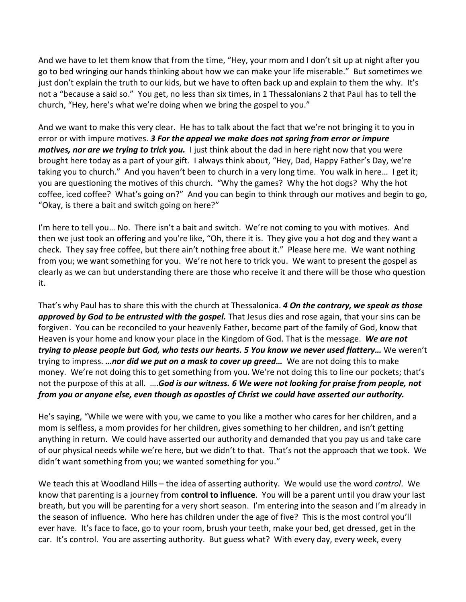And we have to let them know that from the time, "Hey, your mom and I don't sit up at night after you go to bed wringing our hands thinking about how we can make your life miserable." But sometimes we just don't explain the truth to our kids, but we have to often back up and explain to them the why. It's not a "because a said so." You get, no less than six times, in 1 Thessalonians 2 that Paul has to tell the church, "Hey, here's what we're doing when we bring the gospel to you."

And we want to make this very clear. He has to talk about the fact that we're not bringing it to you in error or with impure motives. *3 For the appeal we make does not spring from error or impure motives, nor are we trying to trick you.* I just think about the dad in here right now that you were brought here today as a part of your gift. I always think about, "Hey, Dad, Happy Father's Day, we're taking you to church." And you haven't been to church in a very long time. You walk in here… I get it; you are questioning the motives of this church. "Why the games? Why the hot dogs? Why the hot coffee, iced coffee? What's going on?" And you can begin to think through our motives and begin to go, "Okay, is there a bait and switch going on here?"

I'm here to tell you... No. There isn't a bait and switch. We're not coming to you with motives. And then we just took an offering and you're like, "Oh, there it is. They give you a hot dog and they want a check. They say free coffee, but there ain't nothing free about it." Please here me. We want nothing from you; we want something for you. We're not here to trick you. We want to present the gospel as clearly as we can but understanding there are those who receive it and there will be those who question it.

That's why Paul has to share this with the church at Thessalonica. *4 On the contrary, we speak as those approved by God to be entrusted with the gospel.* That Jesus dies and rose again, that your sins can be forgiven. You can be reconciled to your heavenly Father, become part of the family of God, know that Heaven is your home and know your place in the Kingdom of God. That is the message. *We are not trying to please people but God, who tests our hearts. 5 You know we never used flattery…* We weren't trying to impress. *…nor did we put on a mask to cover up greed…* We are not doing this to make money. We're not doing this to get something from you. We're not doing this to line our pockets; that's not the purpose of this at all. ….*God is our witness. 6 We were not looking for praise from people, not from you or anyone else, even though as apostles of Christ we could have asserted our authority.*

He's saying, "While we were with you, we came to you like a mother who cares for her children, and a mom is selfless, a mom provides for her children, gives something to her children, and isn't getting anything in return. We could have asserted our authority and demanded that you pay us and take care of our physical needs while we're here, but we didn't to that. That's not the approach that we took. We didn't want something from you; we wanted something for you."

We teach this at Woodland Hills – the idea of asserting authority. We would use the word *control*. We know that parenting is a journey from **control to influence**. You will be a parent until you draw your last breath, but you will be parenting for a very short season. I'm entering into the season and I'm already in the season of influence. Who here has children under the age of five? This is the most control you'll ever have. It's face to face, go to your room, brush your teeth, make your bed, get dressed, get in the car. It's control. You are asserting authority. But guess what? With every day, every week, every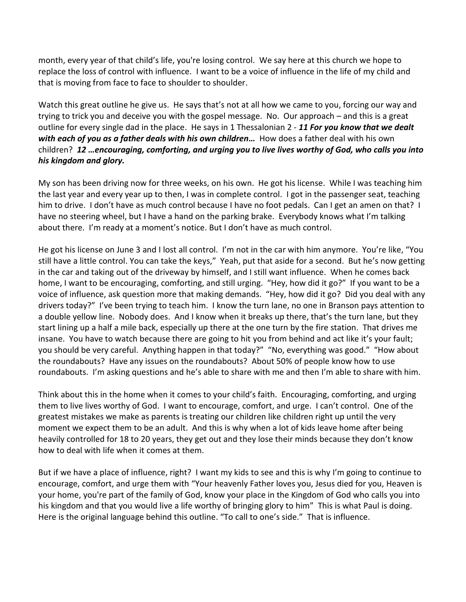month, every year of that child's life, you're losing control. We say here at this church we hope to replace the loss of control with influence. I want to be a voice of influence in the life of my child and that is moving from face to face to shoulder to shoulder.

Watch this great outline he give us. He says that's not at all how we came to you, forcing our way and trying to trick you and deceive you with the gospel message. No. Our approach – and this is a great outline for every single dad in the place. He says in 1 Thessalonian 2 - *11 For you know that we dealt with each of you as a father deals with his own children…* How does a father deal with his own children? *12 …encouraging, comforting, and urging you to live lives worthy of God, who calls you into his kingdom and glory.*

My son has been driving now for three weeks, on his own. He got his license. While I was teaching him the last year and every year up to then, I was in complete control. I got in the passenger seat, teaching him to drive. I don't have as much control because I have no foot pedals. Can I get an amen on that? I have no steering wheel, but I have a hand on the parking brake. Everybody knows what I'm talking about there. I'm ready at a moment's notice. But I don't have as much control.

He got his license on June 3 and I lost all control. I'm not in the car with him anymore. You're like, "You still have a little control. You can take the keys," Yeah, put that aside for a second. But he's now getting in the car and taking out of the driveway by himself, and I still want influence. When he comes back home, I want to be encouraging, comforting, and still urging. "Hey, how did it go?" If you want to be a voice of influence, ask question more that making demands. "Hey, how did it go? Did you deal with any drivers today?" I've been trying to teach him. I know the turn lane, no one in Branson pays attention to a double yellow line. Nobody does. And I know when it breaks up there, that's the turn lane, but they start lining up a half a mile back, especially up there at the one turn by the fire station. That drives me insane. You have to watch because there are going to hit you from behind and act like it's your fault; you should be very careful. Anything happen in that today?" "No, everything was good." "How about the roundabouts? Have any issues on the roundabouts? About 50% of people know how to use roundabouts. I'm asking questions and he's able to share with me and then I'm able to share with him.

Think about this in the home when it comes to your child's faith. Encouraging, comforting, and urging them to live lives worthy of God. I want to encourage, comfort, and urge. I can't control. One of the greatest mistakes we make as parents is treating our children like children right up until the very moment we expect them to be an adult. And this is why when a lot of kids leave home after being heavily controlled for 18 to 20 years, they get out and they lose their minds because they don't know how to deal with life when it comes at them.

But if we have a place of influence, right? I want my kids to see and this is why I'm going to continue to encourage, comfort, and urge them with "Your heavenly Father loves you, Jesus died for you, Heaven is your home, you're part of the family of God, know your place in the Kingdom of God who calls you into his kingdom and that you would live a life worthy of bringing glory to him" This is what Paul is doing. Here is the original language behind this outline. "To call to one's side." That is influence.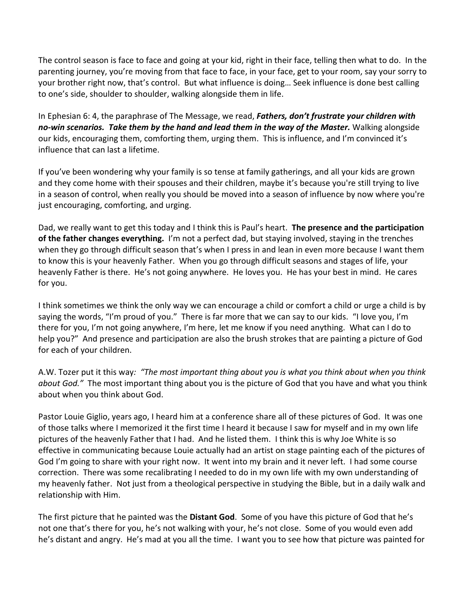The control season is face to face and going at your kid, right in their face, telling then what to do. In the parenting journey, you're moving from that face to face, in your face, get to your room, say your sorry to your brother right now, that's control. But what influence is doing… Seek influence is done best calling to one's side, shoulder to shoulder, walking alongside them in life.

In Ephesian 6: 4, the paraphrase of The Message, we read, *Fathers, don't frustrate your children with no-win scenarios. Take them by the hand and lead them in the way of the Master.* Walking alongside our kids, encouraging them, comforting them, urging them. This is influence, and I'm convinced it's influence that can last a lifetime.

If you've been wondering why your family is so tense at family gatherings, and all your kids are grown and they come home with their spouses and their children, maybe it's because you're still trying to live in a season of control, when really you should be moved into a season of influence by now where you're just encouraging, comforting, and urging.

Dad, we really want to get this today and I think this is Paul's heart. **The presence and the participation of the father changes everything.** I'm not a perfect dad, but staying involved, staying in the trenches when they go through difficult season that's when I press in and lean in even more because I want them to know this is your heavenly Father. When you go through difficult seasons and stages of life, your heavenly Father is there. He's not going anywhere. He loves you. He has your best in mind. He cares for you.

I think sometimes we think the only way we can encourage a child or comfort a child or urge a child is by saying the words, "I'm proud of you." There is far more that we can say to our kids. "I love you, I'm there for you, I'm not going anywhere, I'm here, let me know if you need anything. What can I do to help you?" And presence and participation are also the brush strokes that are painting a picture of God for each of your children.

A.W. Tozer put it this way*: "The most important thing about you is what you think about when you think about God."* The most important thing about you is the picture of God that you have and what you think about when you think about God.

Pastor Louie Giglio, years ago, I heard him at a conference share all of these pictures of God. It was one of those talks where I memorized it the first time I heard it because I saw for myself and in my own life pictures of the heavenly Father that I had. And he listed them. I think this is why Joe White is so effective in communicating because Louie actually had an artist on stage painting each of the pictures of God I'm going to share with your right now. It went into my brain and it never left. I had some course correction. There was some recalibrating I needed to do in my own life with my own understanding of my heavenly father. Not just from a theological perspective in studying the Bible, but in a daily walk and relationship with Him.

The first picture that he painted was the **Distant God**. Some of you have this picture of God that he's not one that's there for you, he's not walking with your, he's not close. Some of you would even add he's distant and angry. He's mad at you all the time. I want you to see how that picture was painted for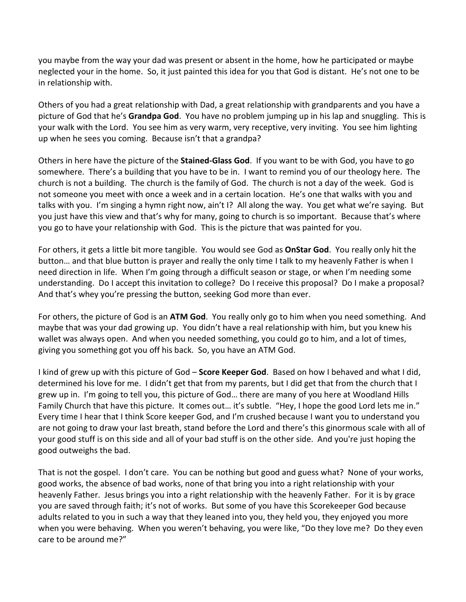you maybe from the way your dad was present or absent in the home, how he participated or maybe neglected your in the home. So, it just painted this idea for you that God is distant. He's not one to be in relationship with.

Others of you had a great relationship with Dad, a great relationship with grandparents and you have a picture of God that he's **Grandpa God**. You have no problem jumping up in his lap and snuggling. This is your walk with the Lord. You see him as very warm, very receptive, very inviting. You see him lighting up when he sees you coming. Because isn't that a grandpa?

Others in here have the picture of the **Stained-Glass God**. If you want to be with God, you have to go somewhere. There's a building that you have to be in. I want to remind you of our theology here. The church is not a building. The church is the family of God. The church is not a day of the week. God is not someone you meet with once a week and in a certain location. He's one that walks with you and talks with you. I'm singing a hymn right now, ain't I? All along the way. You get what we're saying. But you just have this view and that's why for many, going to church is so important. Because that's where you go to have your relationship with God. This is the picture that was painted for you.

For others, it gets a little bit more tangible. You would see God as **OnStar God**. You really only hit the button… and that blue button is prayer and really the only time I talk to my heavenly Father is when I need direction in life. When I'm going through a difficult season or stage, or when I'm needing some understanding. Do I accept this invitation to college? Do I receive this proposal? Do I make a proposal? And that's whey you're pressing the button, seeking God more than ever.

For others, the picture of God is an **ATM God**. You really only go to him when you need something. And maybe that was your dad growing up. You didn't have a real relationship with him, but you knew his wallet was always open. And when you needed something, you could go to him, and a lot of times, giving you something got you off his back. So, you have an ATM God.

I kind of grew up with this picture of God – **Score Keeper God**. Based on how I behaved and what I did, determined his love for me. I didn't get that from my parents, but I did get that from the church that I grew up in. I'm going to tell you, this picture of God… there are many of you here at Woodland Hills Family Church that have this picture. It comes out… it's subtle. "Hey, I hope the good Lord lets me in." Every time I hear that I think Score keeper God, and I'm crushed because I want you to understand you are not going to draw your last breath, stand before the Lord and there's this ginormous scale with all of your good stuff is on this side and all of your bad stuff is on the other side. And you're just hoping the good outweighs the bad.

That is not the gospel. I don't care. You can be nothing but good and guess what? None of your works, good works, the absence of bad works, none of that bring you into a right relationship with your heavenly Father. Jesus brings you into a right relationship with the heavenly Father. For it is by grace you are saved through faith; it's not of works. But some of you have this Scorekeeper God because adults related to you in such a way that they leaned into you, they held you, they enjoyed you more when you were behaving. When you weren't behaving, you were like, "Do they love me? Do they even care to be around me?"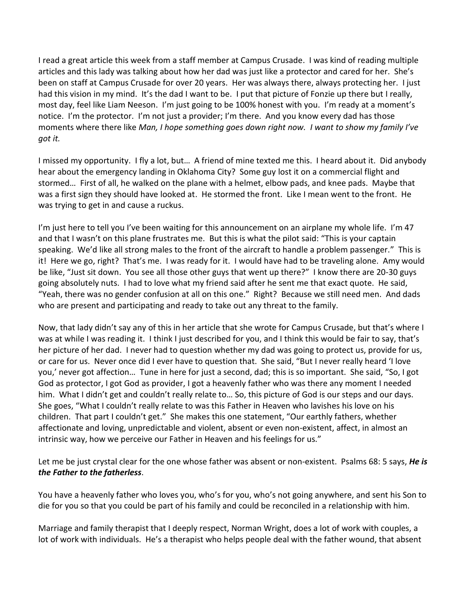I read a great article this week from a staff member at Campus Crusade. I was kind of reading multiple articles and this lady was talking about how her dad was just like a protector and cared for her. She's been on staff at Campus Crusade for over 20 years. Her was always there, always protecting her. I just had this vision in my mind. It's the dad I want to be. I put that picture of Fonzie up there but I really, most day, feel like Liam Neeson. I'm just going to be 100% honest with you. I'm ready at a moment's notice. I'm the protector. I'm not just a provider; I'm there. And you know every dad has those moments where there like *Man, I hope something goes down right now. I want to show my family I've got it.*

I missed my opportunity. I fly a lot, but… A friend of mine texted me this. I heard about it. Did anybody hear about the emergency landing in Oklahoma City? Some guy lost it on a commercial flight and stormed… First of all, he walked on the plane with a helmet, elbow pads, and knee pads. Maybe that was a first sign they should have looked at. He stormed the front. Like I mean went to the front. He was trying to get in and cause a ruckus.

I'm just here to tell you I've been waiting for this announcement on an airplane my whole life. I'm 47 and that I wasn't on this plane frustrates me. But this is what the pilot said: "This is your captain speaking. We'd like all strong males to the front of the aircraft to handle a problem passenger." This is it! Here we go, right? That's me. I was ready for it. I would have had to be traveling alone. Amy would be like, "Just sit down. You see all those other guys that went up there?" I know there are 20-30 guys going absolutely nuts. I had to love what my friend said after he sent me that exact quote. He said, "Yeah, there was no gender confusion at all on this one." Right? Because we still need men. And dads who are present and participating and ready to take out any threat to the family.

Now, that lady didn't say any of this in her article that she wrote for Campus Crusade, but that's where I was at while I was reading it. I think I just described for you, and I think this would be fair to say, that's her picture of her dad. I never had to question whether my dad was going to protect us, provide for us, or care for us. Never once did I ever have to question that. She said, "But I never really heard 'I love you,' never got affection… Tune in here for just a second, dad; this is so important. She said, "So, I got God as protector, I got God as provider, I got a heavenly father who was there any moment I needed him. What I didn't get and couldn't really relate to… So, this picture of God is our steps and our days. She goes, "What I couldn't really relate to was this Father in Heaven who lavishes his love on his children. That part I couldn't get." She makes this one statement, "Our earthly fathers, whether affectionate and loving, unpredictable and violent, absent or even non-existent, affect, in almost an intrinsic way, how we perceive our Father in Heaven and his feelings for us."

Let me be just crystal clear for the one whose father was absent or non-existent. Psalms 68: 5 says, *He is the Father to the fatherless*.

You have a heavenly father who loves you, who's for you, who's not going anywhere, and sent his Son to die for you so that you could be part of his family and could be reconciled in a relationship with him.

Marriage and family therapist that I deeply respect, Norman Wright, does a lot of work with couples, a lot of work with individuals. He's a therapist who helps people deal with the father wound, that absent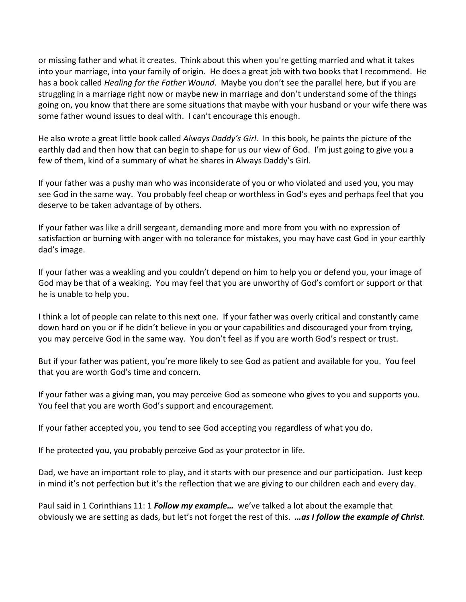or missing father and what it creates. Think about this when you're getting married and what it takes into your marriage, into your family of origin. He does a great job with two books that I recommend. He has a book called *Healing for the Father Wound*. Maybe you don't see the parallel here, but if you are struggling in a marriage right now or maybe new in marriage and don't understand some of the things going on, you know that there are some situations that maybe with your husband or your wife there was some father wound issues to deal with. I can't encourage this enough.

He also wrote a great little book called *Always Daddy's Girl*. In this book, he paints the picture of the earthly dad and then how that can begin to shape for us our view of God. I'm just going to give you a few of them, kind of a summary of what he shares in Always Daddy's Girl.

If your father was a pushy man who was inconsiderate of you or who violated and used you, you may see God in the same way. You probably feel cheap or worthless in God's eyes and perhaps feel that you deserve to be taken advantage of by others.

If your father was like a drill sergeant, demanding more and more from you with no expression of satisfaction or burning with anger with no tolerance for mistakes, you may have cast God in your earthly dad's image.

If your father was a weakling and you couldn't depend on him to help you or defend you, your image of God may be that of a weaking. You may feel that you are unworthy of God's comfort or support or that he is unable to help you.

I think a lot of people can relate to this next one. If your father was overly critical and constantly came down hard on you or if he didn't believe in you or your capabilities and discouraged your from trying, you may perceive God in the same way. You don't feel as if you are worth God's respect or trust.

But if your father was patient, you're more likely to see God as patient and available for you. You feel that you are worth God's time and concern.

If your father was a giving man, you may perceive God as someone who gives to you and supports you. You feel that you are worth God's support and encouragement.

If your father accepted you, you tend to see God accepting you regardless of what you do.

If he protected you, you probably perceive God as your protector in life.

Dad, we have an important role to play, and it starts with our presence and our participation. Just keep in mind it's not perfection but it's the reflection that we are giving to our children each and every day.

Paul said in 1 Corinthians 11: 1 *Follow my example…* we've talked a lot about the example that obviously we are setting as dads, but let's not forget the rest of this. *…as I follow the example of Christ*.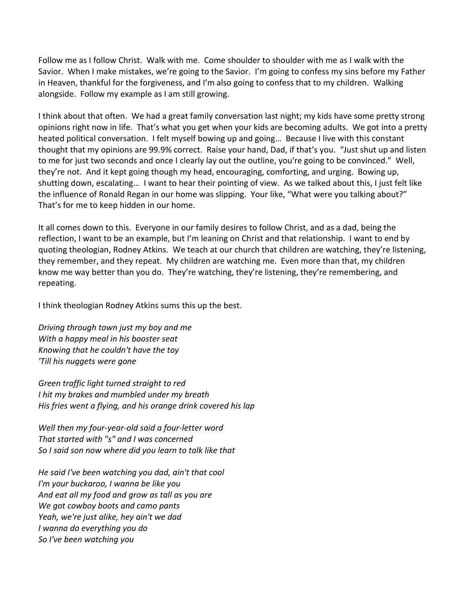Follow me as I follow Christ. Walk with me. Come shoulder to shoulder with me as I walk with the Savior. When I make mistakes, we're going to the Savior. I'm going to confess my sins before my Father in Heaven, thankful for the forgiveness, and I'm also going to confess that to my children. Walking alongside. Follow my example as I am still growing.

I think about that often. We had a great family conversation last night; my kids have some pretty strong opinions right now in life. That's what you get when your kids are becoming adults. We got into a pretty heated political conversation. I felt myself bowing up and going… Because I live with this constant thought that my opinions are 99.9% correct. Raise your hand, Dad, if that's you. "Just shut up and listen to me for just two seconds and once I clearly lay out the outline, you're going to be convinced." Well, they're not. And it kept going though my head, encouraging, comforting, and urging. Bowing up, shutting down, escalating… I want to hear their pointing of view. As we talked about this, I just felt like the influence of Ronald Regan in our home was slipping. Your like, "What were you talking about?" That's for me to keep hidden in our home.

It all comes down to this. Everyone in our family desires to follow Christ, and as a dad, being the reflection, I want to be an example, but I'm leaning on Christ and that relationship. I want to end by quoting theologian, Rodney Atkins. We teach at our church that children are watching, they're listening, they remember, and they repeat. My children are watching me. Even more than that, my children know me way better than you do. They're watching, they're listening, they're remembering, and repeating.

I think theologian Rodney Atkins sums this up the best.

*Driving through town just my boy and me With a happy meal in his booster seat Knowing that he couldn't have the toy 'Till his nuggets were gone*

*Green traffic light turned straight to red I hit my brakes and mumbled under my breath His fries went a flying, and his orange drink covered his lap*

*Well then my four-year-old said a four-letter word That started with "s" and I was concerned So I said son now where did you learn to talk like that*

*He said I've been watching you dad, ain't that cool I'm your buckaroo, I wanna be like you And eat all my food and grow as tall as you are We got cowboy boots and camo pants Yeah, we're just alike, hey ain't we dad I wanna do everything you do So I've been watching you*